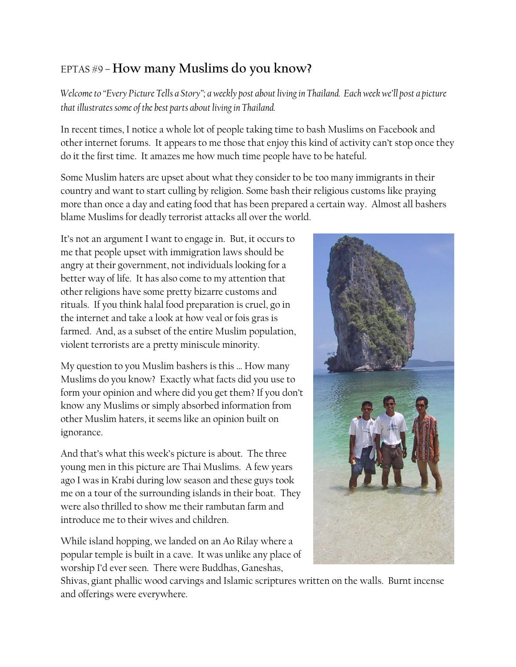## EPTAS #9 – **How many Muslims do you know?**

*Welcome to "Every Picture Tells a Story"; a weekly post about living in Thailand. Each week we'll post a picture that illustrates some of the best parts about living in Thailand.*

In recent times, I notice a whole lot of people taking time to bash Muslims on Facebook and other internet forums. It appears to me those that enjoy this kind of activity can't stop once they do it the first time. It amazes me how much time people have to be hateful.

Some Muslim haters are upset about what they consider to be too many immigrants in their country and want to start culling by religion. Some bash their religious customs like praying more than once a day and eating food that has been prepared a certain way. Almost all bashers blame Muslims for deadly terrorist attacks all over the world.

It's not an argument I want to engage in. But, it occurs to me that people upset with immigration laws should be angry at their government, not individuals looking for a better way of life. It has also come to my attention that other religions have some pretty bizarre customs and rituals. If you think halal food preparation is cruel, go in the internet and take a look at how veal or fois gras is farmed. And, as a subset of the entire Muslim population, violent terrorists are a pretty miniscule minority.

My question to you Muslim bashers is this … How many Muslims do you know? Exactly what facts did you use to form your opinion and where did you get them? If you don't know any Muslims or simply absorbed information from other Muslim haters, it seems like an opinion built on ignorance.

And that's what this week's picture is about. The three young men in this picture are Thai Muslims. A few years ago I was in Krabi during low season and these guys took me on a tour of the surrounding islands in their boat. They were also thrilled to show me their rambutan farm and introduce me to their wives and children.

While island hopping, we landed on an Ao Rilay where a popular temple is built in a cave. It was unlike any place of worship I'd ever seen. There were Buddhas, Ganeshas,



Shivas, giant phallic wood carvings and Islamic scriptures written on the walls. Burnt incense and offerings were everywhere.